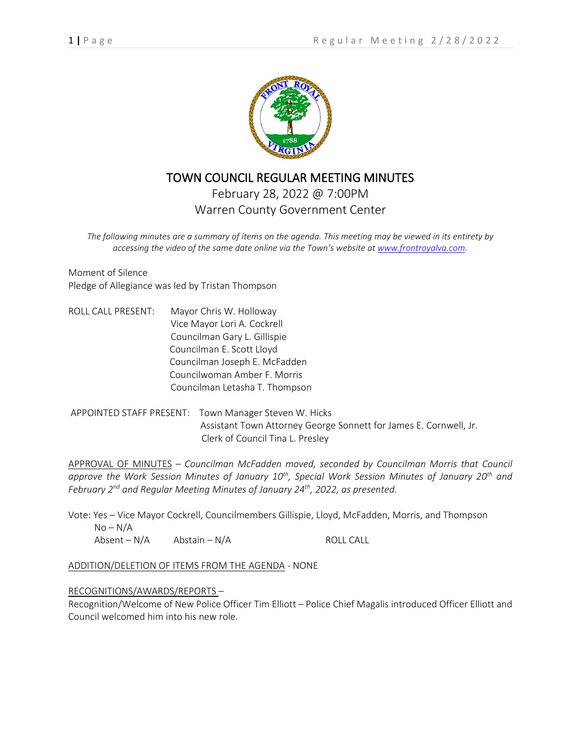

# TOWN COUNCIL REGULAR MEETING MINUTES

February 28, 2022 @ 7:00PM Warren County Government Center

*The following minutes are a summary of items on the agenda. This meeting may be viewed in its entirety by accessing the video of the same date online via the Town's website at [www.frontroyalva.com.](http://www.frontroyalva.com/)* 

Moment of Silence Pledge of Allegiance was led by Tristan Thompson

ROLL CALL PRESENT: Mayor Chris W. Holloway Vice Mayor Lori A. Cockrell Councilman Gary L. Gillispie Councilman E. Scott Lloyd Councilman Joseph E. McFadden Councilwoman Amber F. Morris Councilman Letasha T. Thompson

APPOINTED STAFF PRESENT: Town Manager Steven W. Hicks Assistant Town Attorney George Sonnett for James E. Cornwell, Jr. Clerk of Council Tina L. Presley

APPROVAL OF MINUTES – *Councilman McFadden moved, seconded by Councilman Morris that Council approve the Work Session Minutes of January 10th, Special Work Session Minutes of January 20th and February 2nd and Regular Meeting Minutes of January 24th, 2022, as presented.*

Vote: Yes – Vice Mayor Cockrell, Councilmembers Gillispie, Lloyd, McFadden, Morris, and Thompson  $No-N/A$ 

 $\Delta b$ sent – N/A  $\Delta b$ stain – N/A ROLL CALL

ADDITION/DELETION OF ITEMS FROM THE AGENDA - NONE

#### RECOGNITIONS/AWARDS/REPORTS –

Recognition/Welcome of New Police Officer Tim Elliott – Police Chief Magalis introduced Officer Elliott and Council welcomed him into his new role.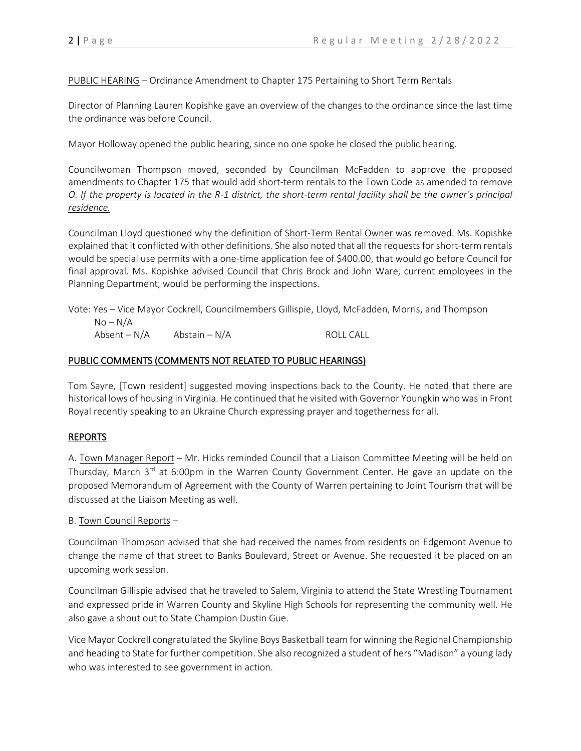PUBLIC HEARING – Ordinance Amendment to Chapter 175 Pertaining to Short Term Rentals

Director of Planning Lauren Kopishke gave an overview of the changes to the ordinance since the last time the ordinance was before Council.

Mayor Holloway opened the public hearing, since no one spoke he closed the public hearing.

Councilwoman Thompson moved, seconded by Councilman McFadden to approve the proposed amendments to Chapter 175 that would add short-term rentals to the Town Code as amended to remove *O. If the property is located in the R-1 district, the short-term rental facility shall be the owner's principal residence.*

Councilman Lloyd questioned why the definition of Short-Term Rental Owner was removed. Ms. Kopishke explained that it conflicted with other definitions. She also noted that all the requests for short-term rentals would be special use permits with a one-time application fee of \$400.00, that would go before Council for final approval. Ms. Kopishke advised Council that Chris Brock and John Ware, current employees in the Planning Department, would be performing the inspections.

Vote: Yes – Vice Mayor Cockrell, Councilmembers Gillispie, Lloyd, McFadden, Morris, and Thompson  $No-N/A$  $\Delta$ bsent – N/A  $\Delta$  Abstain – N/A ROLL CALL

## PUBLIC COMMENTS (COMMENTS NOT RELATED TO PUBLIC HEARINGS)

Tom Sayre, [Town resident] suggested moving inspections back to the County. He noted that there are historical lows of housing in Virginia. He continued that he visited with Governor Youngkin who was in Front Royal recently speaking to an Ukraine Church expressing prayer and togetherness for all.

## REPORTS

A. Town Manager Report – Mr. Hicks reminded Council that a Liaison Committee Meeting will be held on Thursday, March 3<sup>rd</sup> at 6:00pm in the Warren County Government Center. He gave an update on the proposed Memorandum of Agreement with the County of Warren pertaining to Joint Tourism that will be discussed at the Liaison Meeting as well.

## B. Town Council Reports –

Councilman Thompson advised that she had received the names from residents on Edgemont Avenue to change the name of that street to Banks Boulevard, Street or Avenue. She requested it be placed on an upcoming work session.

Councilman Gillispie advised that he traveled to Salem, Virginia to attend the State Wrestling Tournament and expressed pride in Warren County and Skyline High Schools for representing the community well. He also gave a shout out to State Champion Dustin Gue.

Vice Mayor Cockrell congratulated the Skyline Boys Basketball team for winning the Regional Championship and heading to State for further competition. She also recognized a student of hers "Madison" a young lady who was interested to see government in action.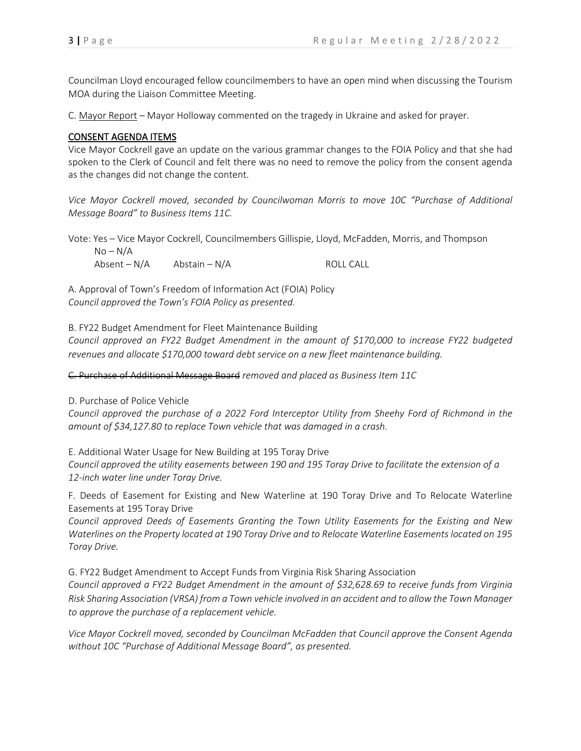Councilman Lloyd encouraged fellow councilmembers to have an open mind when discussing the Tourism MOA during the Liaison Committee Meeting.

C. Mayor Report – Mayor Holloway commented on the tragedy in Ukraine and asked for prayer.

#### CONSENT AGENDA ITEMS

Vice Mayor Cockrell gave an update on the various grammar changes to the FOIA Policy and that she had spoken to the Clerk of Council and felt there was no need to remove the policy from the consent agenda as the changes did not change the content.

*Vice Mayor Cockrell moved, seconded by Councilwoman Morris to move 10C "Purchase of Additional Message Board" to Business Items 11C.*

Vote: Yes – Vice Mayor Cockrell, Councilmembers Gillispie, Lloyd, McFadden, Morris, and Thompson

 $No-N/A$  $\Delta b$ sent – N/A  $\Delta b$ stain – N/A ROLL CALL

A. Approval of Town's Freedom of Information Act (FOIA) Policy *Council approved the Town's FOIA Policy as presented.*

B. FY22 Budget Amendment for Fleet Maintenance Building

*Council approved an FY22 Budget Amendment in the amount of \$170,000 to increase FY22 budgeted revenues and allocate \$170,000 toward debt service on a new fleet maintenance building.*

C. Purchase of Additional Message Board *removed and placed as Business Item 11C*

D. Purchase of Police Vehicle

*Council approved the purchase of a 2022 Ford Interceptor Utility from Sheehy Ford of Richmond in the amount of \$34,127.80 to replace Town vehicle that was damaged in a crash.* 

E. Additional Water Usage for New Building at 195 Toray Drive

*Council approved the utility easements between 190 and 195 Toray Drive to facilitate the extension of a 12-inch water line under Toray Drive.*

F. Deeds of Easement for Existing and New Waterline at 190 Toray Drive and To Relocate Waterline Easements at 195 Toray Drive

*Council approved Deeds of Easements Granting the Town Utility Easements for the Existing and New Waterlines on the Property located at 190 Toray Drive and to Relocate Waterline Easements located on 195 Toray Drive.*

G. FY22 Budget Amendment to Accept Funds from Virginia Risk Sharing Association *Council approved a FY22 Budget Amendment in the amount of \$32,628.69 to receive funds from Virginia Risk Sharing Association (VRSA) from a Town vehicle involved in an accident and to allow the Town Manager to approve the purchase of a replacement vehicle.*

*Vice Mayor Cockrell moved, seconded by Councilman McFadden that Council approve the Consent Agenda without 10C "Purchase of Additional Message Board", as presented.*